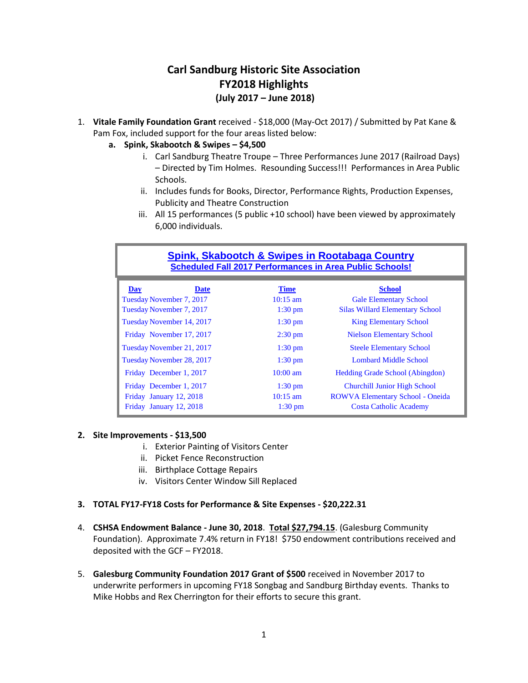# **Carl Sandburg Historic Site Association FY2018 Highlights (July 2017 – June 2018)**

- 1. **Vitale Family Foundation Grant** received \$18,000 (May-Oct 2017) / Submitted by Pat Kane & Pam Fox, included support for the four areas listed below:
	- **a. Spink, Skabootch & Swipes – \$4,500** 
		- i. Carl Sandburg Theatre Troupe Three Performances June 2017 (Railroad Days) – Directed by Tim Holmes. Resounding Success!!! Performances in Area Public Schools.
		- ii. Includes funds for Books, Director, Performance Rights, Production Expenses, Publicity and Theatre Construction
		- iii. All 15 performances (5 public +10 school) have been viewed by approximately 6,000 individuals.

| <b>Spink, Skabootch &amp; Swipes in Rootabaga Country</b><br><b>Scheduled Fall 2017 Performances in Area Public Schools!</b> |                                                        |                                                                                          |  |  |  |  |  |  |
|------------------------------------------------------------------------------------------------------------------------------|--------------------------------------------------------|------------------------------------------------------------------------------------------|--|--|--|--|--|--|
| <b>Date</b><br>Day<br>Tuesday November 7, 2017<br>Tuesday November 7, 2017                                                   | <b>Time</b><br>$10:15 \text{ am}$<br>$1:30 \text{ pm}$ | <b>School</b><br><b>Gale Elementary School</b><br><b>Silas Willard Elementary School</b> |  |  |  |  |  |  |
| Tuesday November 14, 2017                                                                                                    | $1:30$ pm                                              | <b>King Elementary School</b>                                                            |  |  |  |  |  |  |
| Friday November 17, 2017                                                                                                     | $2:30 \text{ pm}$                                      | <b>Nielson Elementary School</b>                                                         |  |  |  |  |  |  |
| Tuesday November 21, 2017                                                                                                    | $1:30 \text{ pm}$                                      | <b>Steele Elementary School</b>                                                          |  |  |  |  |  |  |
| Tuesday November 28, 2017                                                                                                    | $1:30$ pm                                              | Lombard Middle School                                                                    |  |  |  |  |  |  |
| Friday December 1, 2017                                                                                                      | $10:00 \text{ am}$                                     | <b>Hedding Grade School (Abingdon)</b>                                                   |  |  |  |  |  |  |
| Friday December 1, 2017                                                                                                      | $1:30$ pm                                              | <b>Churchill Junior High School</b>                                                      |  |  |  |  |  |  |
| Friday January 12, 2018                                                                                                      | $10:15 \text{ am}$                                     | <b>ROWVA Elementary School - Oneida</b>                                                  |  |  |  |  |  |  |
| Friday January 12, 2018                                                                                                      | $1:30$ pm                                              | <b>Costa Catholic Academy</b>                                                            |  |  |  |  |  |  |

## **2. Site Improvements - \$13,500**

- i. Exterior Painting of Visitors Center
- ii. Picket Fence Reconstruction
- iii. Birthplace Cottage Repairs
- iv. Visitors Center Window Sill Replaced

## **3. TOTAL FY17-FY18 Costs for Performance & Site Expenses - \$20,222.31**

- 4. **CSHSA Endowment Balance - June 30, 2018**. **Total \$27,794.15**. (Galesburg Community Foundation). Approximate 7.4% return in FY18! \$750 endowment contributions received and deposited with the GCF – FY2018.
- 5. **Galesburg Community Foundation 2017 Grant of \$500** received in November 2017 to underwrite performers in upcoming FY18 Songbag and Sandburg Birthday events. Thanks to Mike Hobbs and Rex Cherrington for their efforts to secure this grant.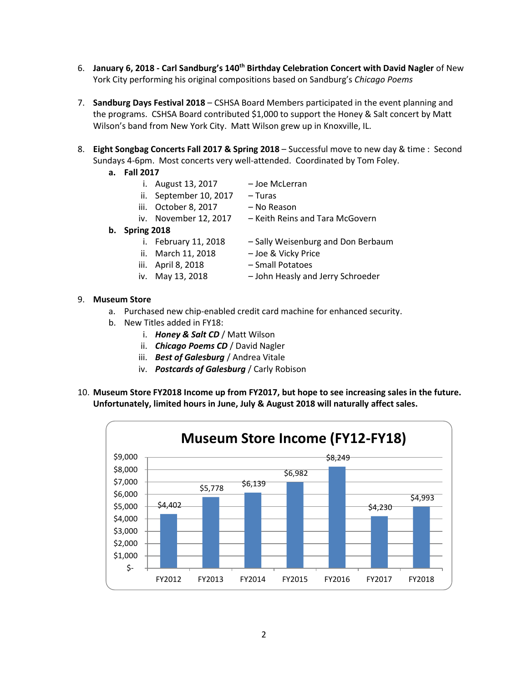- 6. **January 6, 2018 - Carl Sandburg's 140th Birthday Celebration Concert with David Nagler** of New York City performing his original compositions based on Sandburg's *Chicago Poems*
- 7. **Sandburg Days Festival 2018** CSHSA Board Members participated in the event planning and the programs. CSHSA Board contributed \$1,000 to support the Honey & Salt concert by Matt Wilson's band from New York City. Matt Wilson grew up in Knoxville, IL.
- 8. **Eight Songbag Concerts Fall 2017 & Spring 2018** Successful move to new day & time : Second Sundays 4-6pm. Most concerts very well-attended. Coordinated by Tom Foley.
	- **a. Fall 2017**
		- i. August 13, 2017 Joe McLerran
		- ii. September 10, 2017 Turas
		- iii. October 8, 2017 No Reason
		- iv. November 12, 2017 Keith Reins and Tara McGovern
			-
- **b. Spring 2018**
	- i. February 11, 2018 Sally Weisenburg and Don Berbaum
	- ii. March 11, 2018 Joe & Vicky Price
	- iii. April 8, 2018 Small Potatoes
		-
	- iv. May 13, 2018 John Heasly and Jerry Schroeder
- 9. **Museum Store** 
	- a. Purchased new chip-enabled credit card machine for enhanced security.
	- b. New Titles added in FY18:
		- i. *Honey & Salt CD* / Matt Wilson
		- ii. *Chicago Poems CD* / David Nagler
		- iii. *Best of Galesburg* / Andrea Vitale
		- iv. *Postcards of Galesburg* / Carly Robison
- 10. **Museum Store FY2018 Income up from FY2017, but hope to see increasing sales in the future. Unfortunately, limited hours in June, July & August 2018 will naturally affect sales.**